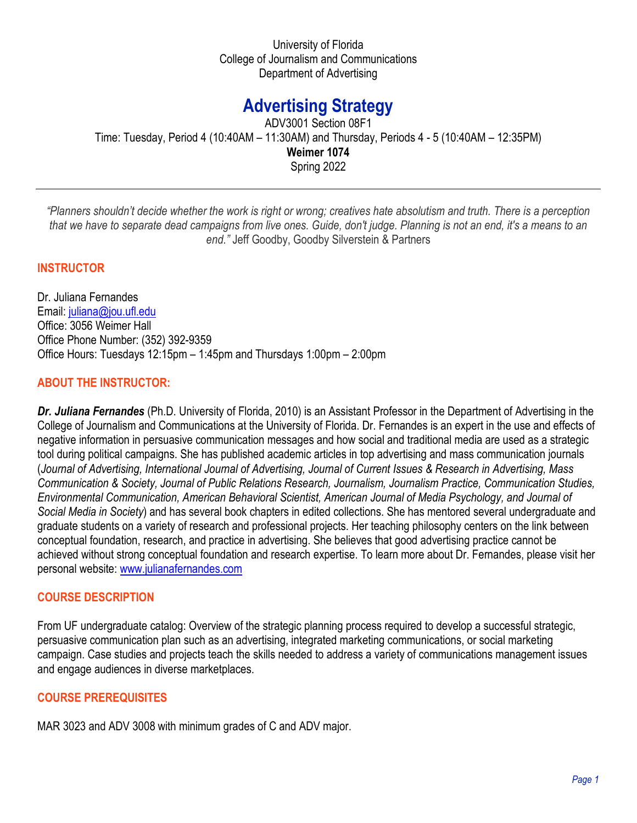University of Florida College of Journalism and Communications Department of Advertising

# **Advertising Strategy**

ADV3001 Section 08F1 Time: Tuesday, Period 4 (10:40AM – 11:30AM) and Thursday, Periods 4 - 5 (10:40AM – 12:35PM) **Weimer 1074** Spring 2022

*"Planners shouldn't decide whether the work is right or wrong; creatives hate absolutism and truth. There is a perception that we have to separate dead campaigns from live ones. Guide, don't judge. Planning is not an end, it's a means to an end."* Jeff Goodby, Goodby Silverstein & Partners

### **INSTRUCTOR**

Dr. Juliana Fernandes Email: [juliana@jou.ufl.edu](mailto:juliana@jou.ufl.edu) Office: 3056 Weimer Hall Office Phone Number: (352) 392-9359 Office Hours: Tuesdays 12:15pm – 1:45pm and Thursdays 1:00pm – 2:00pm

#### **ABOUT THE INSTRUCTOR:**

*Dr. Juliana Fernandes* (Ph.D. University of Florida, 2010) is an Assistant Professor in the Department of Advertising in the College of Journalism and Communications at the University of Florida. Dr. Fernandes is an expert in the use and effects of negative information in persuasive communication messages and how social and traditional media are used as a strategic tool during political campaigns. She has published academic articles in top advertising and mass communication journals (*Journal of Advertising, International Journal of Advertising, Journal of Current Issues & Research in Advertising, Mass Communication & Society, Journal of Public Relations Research, Journalism, Journalism Practice, Communication Studies, Environmental Communication, American Behavioral Scientist, American Journal of Media Psychology, and Journal of Social Media in Society*) and has several book chapters in edited collections. She has mentored several undergraduate and graduate students on a variety of research and professional projects. Her teaching philosophy centers on the link between conceptual foundation, research, and practice in advertising. She believes that good advertising practice cannot be achieved without strong conceptual foundation and research expertise. To learn more about Dr. Fernandes, please visit her personal website: [www.julianafernandes.com](http://www.julianafernandes.com/) 

#### **COURSE DESCRIPTION**

From UF undergraduate catalog: Overview of the strategic planning process required to develop a successful strategic, persuasive communication plan such as an advertising, integrated marketing communications, or social marketing campaign. Case studies and projects teach the skills needed to address a variety of communications management issues and engage audiences in diverse marketplaces.

#### **COURSE PREREQUISITES**

MAR 3023 and ADV 3008 with minimum grades of C and ADV major.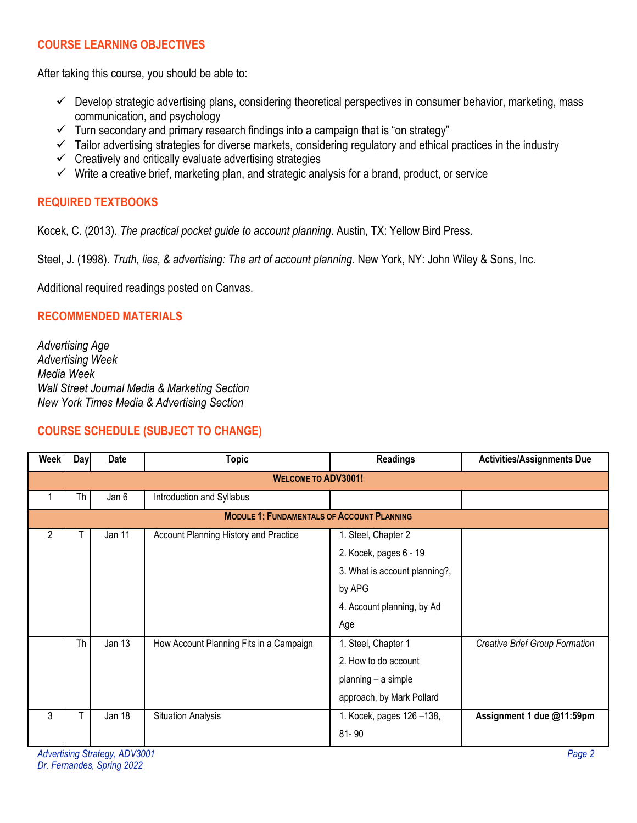# **COURSE LEARNING OBJECTIVES**

After taking this course, you should be able to:

- $\checkmark$  Develop strategic advertising plans, considering theoretical perspectives in consumer behavior, marketing, mass communication, and psychology
- $\checkmark$  Turn secondary and primary research findings into a campaign that is "on strategy"
- $\checkmark$  Tailor advertising strategies for diverse markets, considering regulatory and ethical practices in the industry
- $\checkmark$  Creatively and critically evaluate advertising strategies
- $\checkmark$  Write a creative brief, marketing plan, and strategic analysis for a brand, product, or service

# **REQUIRED TEXTBOOKS**

Kocek, C. (2013). *The practical pocket guide to account planning*. Austin, TX: Yellow Bird Press.

Steel, J. (1998). *Truth, lies, & advertising: The art of account planning*. New York, NY: John Wiley & Sons, Inc.

Additional required readings posted on Canvas.

# **RECOMMENDED MATERIALS**

*Advertising Age Advertising Week Media Week Wall Street Journal Media & Marketing Section New York Times Media & Advertising Section*

# **COURSE SCHEDULE (SUBJECT TO CHANGE)**

| <b>Week</b>                                       | Dayl | <b>Date</b> | <b>Topic</b>                            | <b>Readings</b>               | <b>Activities/Assignments Due</b>     |  |
|---------------------------------------------------|------|-------------|-----------------------------------------|-------------------------------|---------------------------------------|--|
| <b>WELCOME TO ADV3001!</b>                        |      |             |                                         |                               |                                       |  |
|                                                   | Th   | Jan 6       | Introduction and Syllabus               |                               |                                       |  |
| <b>MODULE 1: FUNDAMENTALS OF ACCOUNT PLANNING</b> |      |             |                                         |                               |                                       |  |
| 2                                                 |      | Jan 11      | Account Planning History and Practice   | 1. Steel, Chapter 2           |                                       |  |
|                                                   |      |             |                                         | 2. Kocek, pages 6 - 19        |                                       |  |
|                                                   |      |             |                                         | 3. What is account planning?, |                                       |  |
|                                                   |      |             |                                         | by APG                        |                                       |  |
|                                                   |      |             |                                         | 4. Account planning, by Ad    |                                       |  |
|                                                   |      |             |                                         | Age                           |                                       |  |
|                                                   | Th   | Jan 13      | How Account Planning Fits in a Campaign | 1. Steel, Chapter 1           | <b>Creative Brief Group Formation</b> |  |
|                                                   |      |             |                                         | 2. How to do account          |                                       |  |
|                                                   |      |             |                                         | planning - a simple           |                                       |  |
|                                                   |      |             |                                         | approach, by Mark Pollard     |                                       |  |
| 3                                                 |      | Jan 18      | <b>Situation Analysis</b>               | 1. Kocek, pages 126-138,      | Assignment 1 due @11:59pm             |  |
|                                                   |      |             |                                         | $81 - 90$                     |                                       |  |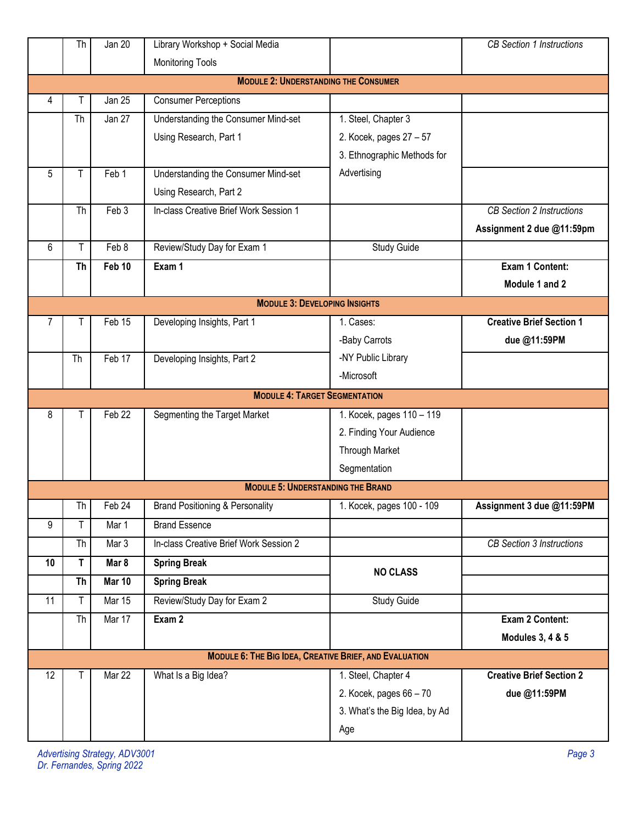|                                             | Th                                   | Jan 20            | Library Workshop + Social Media            |                                                               | <b>CB Section 1 Instructions</b> |  |  |
|---------------------------------------------|--------------------------------------|-------------------|--------------------------------------------|---------------------------------------------------------------|----------------------------------|--|--|
|                                             |                                      |                   | <b>Monitoring Tools</b>                    |                                                               |                                  |  |  |
| <b>MODULE 2: UNDERSTANDING THE CONSUMER</b> |                                      |                   |                                            |                                                               |                                  |  |  |
| 4                                           | Т                                    | <b>Jan 25</b>     | <b>Consumer Perceptions</b>                |                                                               |                                  |  |  |
|                                             | Th                                   | Jan 27            | Understanding the Consumer Mind-set        | 1. Steel, Chapter 3                                           |                                  |  |  |
|                                             |                                      |                   | Using Research, Part 1                     | 2. Kocek, pages 27 - 57                                       |                                  |  |  |
|                                             |                                      |                   |                                            | 3. Ethnographic Methods for                                   |                                  |  |  |
| 5                                           |                                      | Feb 1             | Understanding the Consumer Mind-set        | Advertising                                                   |                                  |  |  |
|                                             |                                      |                   | Using Research, Part 2                     |                                                               |                                  |  |  |
|                                             | Th                                   | Feb 3             | In-class Creative Brief Work Session 1     |                                                               | <b>CB Section 2 Instructions</b> |  |  |
|                                             |                                      |                   |                                            |                                                               | Assignment 2 due @11:59pm        |  |  |
| 6                                           | T                                    | Feb 8             | Review/Study Day for Exam 1                | <b>Study Guide</b>                                            |                                  |  |  |
|                                             | <b>Th</b>                            | Feb 10            | Exam 1                                     |                                                               | Exam 1 Content:                  |  |  |
|                                             |                                      |                   |                                            |                                                               | Module 1 and 2                   |  |  |
|                                             | <b>MODULE 3: DEVELOPING INSIGHTS</b> |                   |                                            |                                                               |                                  |  |  |
| 7                                           |                                      | Feb 15            | Developing Insights, Part 1                | 1. Cases:                                                     | <b>Creative Brief Section 1</b>  |  |  |
|                                             |                                      |                   |                                            | -Baby Carrots                                                 | due @11:59PM                     |  |  |
|                                             | Th                                   | Feb 17            | Developing Insights, Part 2                | -NY Public Library                                            |                                  |  |  |
|                                             |                                      |                   |                                            | -Microsoft                                                    |                                  |  |  |
|                                             |                                      |                   | <b>MODULE 4: TARGET SEGMENTATION</b>       |                                                               |                                  |  |  |
| 8                                           | Т                                    | Feb <sub>22</sub> | Segmenting the Target Market               | 1. Kocek, pages 110 - 119                                     |                                  |  |  |
|                                             |                                      |                   |                                            | 2. Finding Your Audience                                      |                                  |  |  |
|                                             |                                      |                   |                                            | <b>Through Market</b>                                         |                                  |  |  |
|                                             |                                      |                   |                                            | Segmentation                                                  |                                  |  |  |
|                                             |                                      |                   | <b>MODULE 5: UNDERSTANDING THE BRAND</b>   |                                                               |                                  |  |  |
|                                             | Th                                   | Feb 24            | <b>Brand Positioning &amp; Personality</b> | 1. Kocek, pages 100 - 109                                     | Assignment 3 due @11:59PM        |  |  |
| 9                                           | T                                    | Mar 1             | <b>Brand Essence</b>                       |                                                               |                                  |  |  |
|                                             | Th                                   | Mar 3             | In-class Creative Brief Work Session 2     |                                                               | CB Section 3 Instructions        |  |  |
| 10                                          | T                                    | Mar 8             | <b>Spring Break</b>                        | <b>NO CLASS</b>                                               |                                  |  |  |
|                                             | <b>Th</b>                            | <b>Mar 10</b>     | <b>Spring Break</b>                        |                                                               |                                  |  |  |
| 11                                          | Τ                                    | <b>Mar 15</b>     | Review/Study Day for Exam 2                | <b>Study Guide</b>                                            |                                  |  |  |
|                                             | Th                                   | Mar 17            | Exam 2                                     |                                                               | Exam 2 Content:                  |  |  |
|                                             |                                      |                   |                                            |                                                               | <b>Modules 3, 4 &amp; 5</b>      |  |  |
|                                             |                                      |                   |                                            | <b>MODULE 6: THE BIG IDEA, CREATIVE BRIEF, AND EVALUATION</b> |                                  |  |  |
| 12                                          | т                                    | Mar 22            | What Is a Big Idea?                        | 1. Steel, Chapter 4                                           | <b>Creative Brief Section 2</b>  |  |  |
|                                             |                                      |                   |                                            | 2. Kocek, pages 66 - 70                                       | due @11:59PM                     |  |  |
|                                             |                                      |                   |                                            | 3. What's the Big Idea, by Ad                                 |                                  |  |  |
|                                             |                                      |                   |                                            |                                                               |                                  |  |  |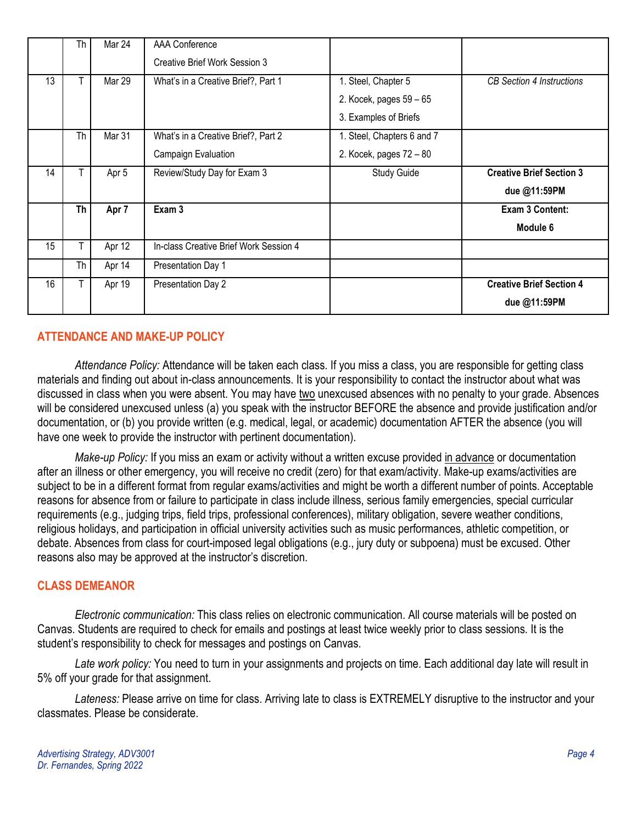|    | Th        | Mar 24 | AAA Conference                         |                            |                                  |
|----|-----------|--------|----------------------------------------|----------------------------|----------------------------------|
|    |           |        | Creative Brief Work Session 3          |                            |                                  |
| 13 | T         | Mar 29 | What's in a Creative Brief?, Part 1    | 1. Steel, Chapter 5        | <b>CB</b> Section 4 Instructions |
|    |           |        |                                        | 2. Kocek, pages 59 - 65    |                                  |
|    |           |        |                                        | 3. Examples of Briefs      |                                  |
|    | <b>Th</b> | Mar 31 | What's in a Creative Brief?, Part 2    | 1. Steel, Chapters 6 and 7 |                                  |
|    |           |        | Campaign Evaluation                    | 2. Kocek, pages 72 - 80    |                                  |
| 14 | T         | Apr 5  | Review/Study Day for Exam 3            | Study Guide                | <b>Creative Brief Section 3</b>  |
|    |           |        |                                        |                            | due @11:59PM                     |
|    | Th        | Apr 7  | Exam 3                                 |                            | Exam 3 Content:                  |
|    |           |        |                                        |                            | Module 6                         |
| 15 | T         | Apr 12 | In-class Creative Brief Work Session 4 |                            |                                  |
|    | <b>Th</b> | Apr 14 | Presentation Day 1                     |                            |                                  |
| 16 | T.        | Apr 19 | Presentation Day 2                     |                            | <b>Creative Brief Section 4</b>  |
|    |           |        |                                        |                            | due @11:59PM                     |

# **ATTENDANCE AND MAKE-UP POLICY**

*Attendance Policy:* Attendance will be taken each class. If you miss a class, you are responsible for getting class materials and finding out about in-class announcements. It is your responsibility to contact the instructor about what was discussed in class when you were absent. You may have two unexcused absences with no penalty to your grade. Absences will be considered unexcused unless (a) you speak with the instructor BEFORE the absence and provide justification and/or documentation, or (b) you provide written (e.g. medical, legal, or academic) documentation AFTER the absence (you will have one week to provide the instructor with pertinent documentation).

*Make-up Policy:* If you miss an exam or activity without a written excuse provided in advance or documentation after an illness or other emergency, you will receive no credit (zero) for that exam/activity. Make-up exams/activities are subject to be in a different format from regular exams/activities and might be worth a different number of points. Acceptable reasons for absence from or failure to participate in class include illness, serious family emergencies, special curricular requirements (e.g., judging trips, field trips, professional conferences), military obligation, severe weather conditions, religious holidays, and participation in official university activities such as music performances, athletic competition, or debate. Absences from class for court-imposed legal obligations (e.g., jury duty or subpoena) must be excused. Other reasons also may be approved at the instructor's discretion.

#### **CLASS DEMEANOR**

*Electronic communication:* This class relies on electronic communication. All course materials will be posted on Canvas. Students are required to check for emails and postings at least twice weekly prior to class sessions. It is the student's responsibility to check for messages and postings on Canvas.

*Late work policy:* You need to turn in your assignments and projects on time. Each additional day late will result in 5% off your grade for that assignment.

*Lateness:* Please arrive on time for class. Arriving late to class is EXTREMELY disruptive to the instructor and your classmates. Please be considerate.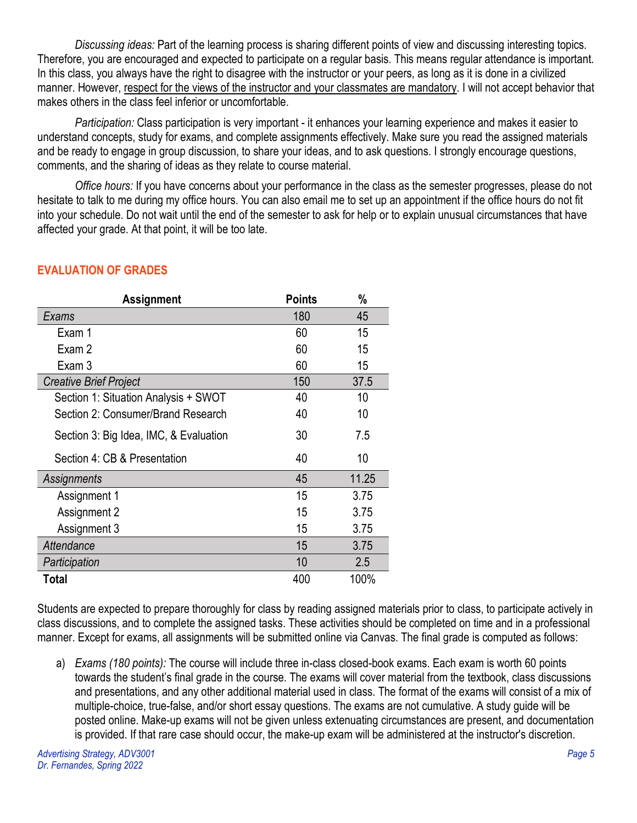*Discussing ideas:* Part of the learning process is sharing different points of view and discussing interesting topics. Therefore, you are encouraged and expected to participate on a regular basis. This means regular attendance is important. In this class, you always have the right to disagree with the instructor or your peers, as long as it is done in a civilized manner. However, respect for the views of the instructor and your classmates are mandatory. I will not accept behavior that makes others in the class feel inferior or uncomfortable.

*Participation:* Class participation is very important - it enhances your learning experience and makes it easier to understand concepts, study for exams, and complete assignments effectively. Make sure you read the assigned materials and be ready to engage in group discussion, to share your ideas, and to ask questions. I strongly encourage questions, comments, and the sharing of ideas as they relate to course material.

*Office hours:* If you have concerns about your performance in the class as the semester progresses, please do not hesitate to talk to me during my office hours. You can also email me to set up an appointment if the office hours do not fit into your schedule. Do not wait until the end of the semester to ask for help or to explain unusual circumstances that have affected your grade. At that point, it will be too late.

| <b>Assignment</b>                      | <b>Points</b> | %     |
|----------------------------------------|---------------|-------|
| Exams                                  | 180           | 45    |
| Exam 1                                 | 60            | 15    |
| Exam 2                                 | 60            | 15    |
| Exam 3                                 | 60            | 15    |
| Creative Brief Project                 | 150           | 37.5  |
| Section 1: Situation Analysis + SWOT   | 40            | 10    |
| Section 2: Consumer/Brand Research     | 40            | 10    |
| Section 3: Big Idea, IMC, & Evaluation | 30            | 7.5   |
| Section 4: CB & Presentation           | 40            | 10    |
| Assignments                            | 45            | 11.25 |
| Assignment 1                           | 15            | 3.75  |
| Assignment 2                           | 15            | 3.75  |
| Assignment 3                           | 15            | 3.75  |
| Attendance                             | 15            | 3.75  |
| Participation                          | 10            | 2.5   |
| Total                                  | 400           | 100%  |

# **EVALUATION OF GRADES**

Students are expected to prepare thoroughly for class by reading assigned materials prior to class, to participate actively in class discussions, and to complete the assigned tasks. These activities should be completed on time and in a professional manner. Except for exams, all assignments will be submitted online via Canvas. The final grade is computed as follows:

a) *Exams (180 points):* The course will include three in-class closed-book exams. Each exam is worth 60 points towards the student's final grade in the course. The exams will cover material from the textbook, class discussions and presentations, and any other additional material used in class. The format of the exams will consist of a mix of multiple-choice, true-false, and/or short essay questions. The exams are not cumulative. A study guide will be posted online. Make-up exams will not be given unless extenuating circumstances are present, and documentation is provided. If that rare case should occur, the make-up exam will be administered at the instructor's discretion.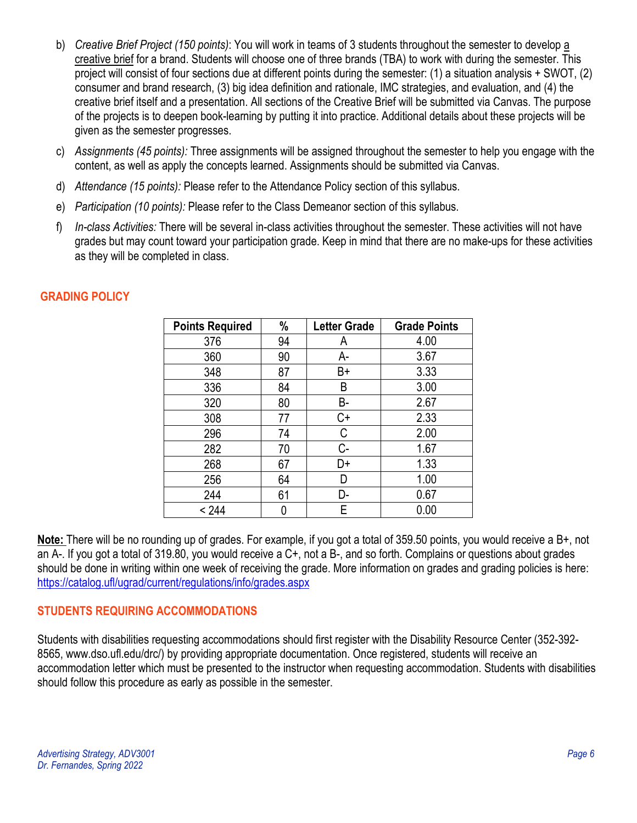- b) *Creative Brief Project (150 points)*: You will work in teams of 3 students throughout the semester to develop a creative brief for a brand. Students will choose one of three brands (TBA) to work with during the semester. This project will consist of four sections due at different points during the semester: (1) a situation analysis + SWOT, (2) consumer and brand research, (3) big idea definition and rationale, IMC strategies, and evaluation, and (4) the creative brief itself and a presentation. All sections of the Creative Brief will be submitted via Canvas. The purpose of the projects is to deepen book-learning by putting it into practice. Additional details about these projects will be given as the semester progresses.
- c) *Assignments (45 points):* Three assignments will be assigned throughout the semester to help you engage with the content, as well as apply the concepts learned. Assignments should be submitted via Canvas.
- d) *Attendance (15 points):* Please refer to the Attendance Policy section of this syllabus.
- e) *Participation (10 points):* Please refer to the Class Demeanor section of this syllabus.
- f) *In-class Activities:* There will be several in-class activities throughout the semester. These activities will not have grades but may count toward your participation grade. Keep in mind that there are no make-ups for these activities as they will be completed in class.

| <b>Points Required</b> | %  | <b>Letter Grade</b> | <b>Grade Points</b> |
|------------------------|----|---------------------|---------------------|
| 376                    | 94 | A                   | 4.00                |
| 360                    | 90 | A-                  | 3.67                |
| 348                    | 87 | B+                  | 3.33                |
| 336                    | 84 | B                   | 3.00                |
| 320                    | 80 | В-                  | 2.67                |
| 308                    | 77 | C+                  | 2.33                |
| 296                    | 74 | С                   | 2.00                |
| 282                    | 70 | C-                  | 1.67                |
| 268                    | 67 | D+                  | 1.33                |
| 256                    | 64 | D                   | 1.00                |
| 244                    | 61 | D-                  | 0.67                |
| < 244                  |    | Е                   | 0.00                |

# **GRADING POLICY**

**Note:** There will be no rounding up of grades. For example, if you got a total of 359.50 points, you would receive a B+, not an A-. If you got a total of 319.80, you would receive a C+, not a B-, and so forth. Complains or questions about grades should be done in writing within one week of receiving the grade. More information on grades and grading policies is here: <https://catalog.ufl/ugrad/current/regulations/info/grades.aspx>

# **STUDENTS REQUIRING ACCOMMODATIONS**

Students with disabilities requesting accommodations should first register with the Disability Resource Center (352-392- 8565, www.dso.ufl.edu/drc/) by providing appropriate documentation. Once registered, students will receive an accommodation letter which must be presented to the instructor when requesting accommodation. Students with disabilities should follow this procedure as early as possible in the semester.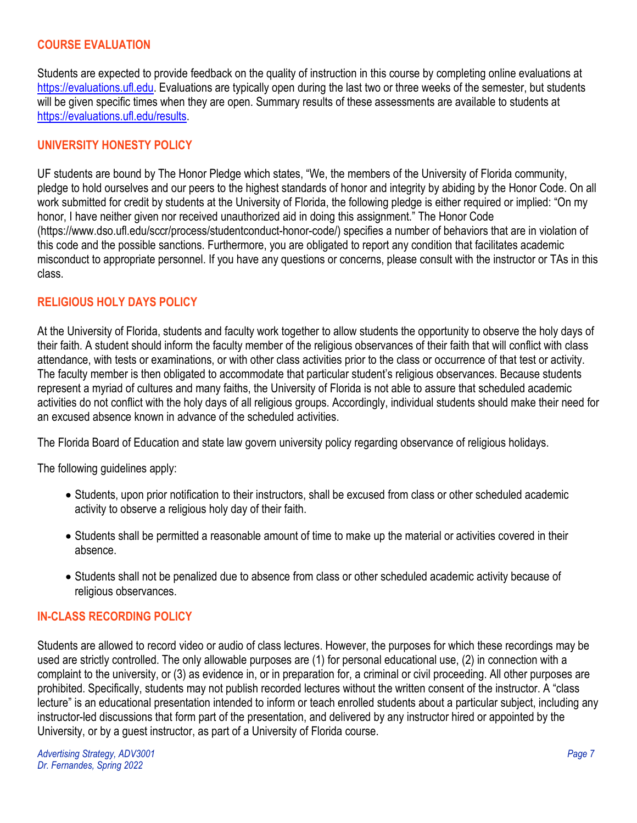## **COURSE EVALUATION**

Students are expected to provide feedback on the quality of instruction in this course by completing online evaluations at [https://evaluations.ufl.edu.](https://evaluations.ufl.edu/) Evaluations are typically open during the last two or three weeks of the semester, but students will be given specific times when they are open. Summary results of these assessments are available to students at [https://evaluations.ufl.edu/results.](https://evaluations.ufl.edu/results)

# **UNIVERSITY HONESTY POLICY**

UF students are bound by The Honor Pledge which states, "We, the members of the University of Florida community, pledge to hold ourselves and our peers to the highest standards of honor and integrity by abiding by the Honor Code. On all work submitted for credit by students at the University of Florida, the following pledge is either required or implied: "On my honor, I have neither given nor received unauthorized aid in doing this assignment." The Honor Code (https://www.dso.ufl.edu/sccr/process/studentconduct-honor-code/) specifies a number of behaviors that are in violation of this code and the possible sanctions. Furthermore, you are obligated to report any condition that facilitates academic misconduct to appropriate personnel. If you have any questions or concerns, please consult with the instructor or TAs in this class.

### **RELIGIOUS HOLY DAYS POLICY**

At the University of Florida, students and faculty work together to allow students the opportunity to observe the holy days of their faith. A student should inform the faculty member of the religious observances of their faith that will conflict with class attendance, with tests or examinations, or with other class activities prior to the class or occurrence of that test or activity. The faculty member is then obligated to accommodate that particular student's religious observances. Because students represent a myriad of cultures and many faiths, the University of Florida is not able to assure that scheduled academic activities do not conflict with the holy days of all religious groups. Accordingly, individual students should make their need for an excused absence known in advance of the scheduled activities.

The Florida Board of Education and state law govern university policy regarding observance of religious holidays.

The following guidelines apply:

- Students, upon prior notification to their instructors, shall be excused from class or other scheduled academic activity to observe a religious holy day of their faith.
- Students shall be permitted a reasonable amount of time to make up the material or activities covered in their absence.
- Students shall not be penalized due to absence from class or other scheduled academic activity because of religious observances.

### **IN-CLASS RECORDING POLICY**

Students are allowed to record video or audio of class lectures. However, the purposes for which these recordings may be used are strictly controlled. The only allowable purposes are (1) for personal educational use, (2) in connection with a complaint to the university, or (3) as evidence in, or in preparation for, a criminal or civil proceeding. All other purposes are prohibited. Specifically, students may not publish recorded lectures without the written consent of the instructor. A "class lecture" is an educational presentation intended to inform or teach enrolled students about a particular subject, including any instructor-led discussions that form part of the presentation, and delivered by any instructor hired or appointed by the University, or by a guest instructor, as part of a University of Florida course.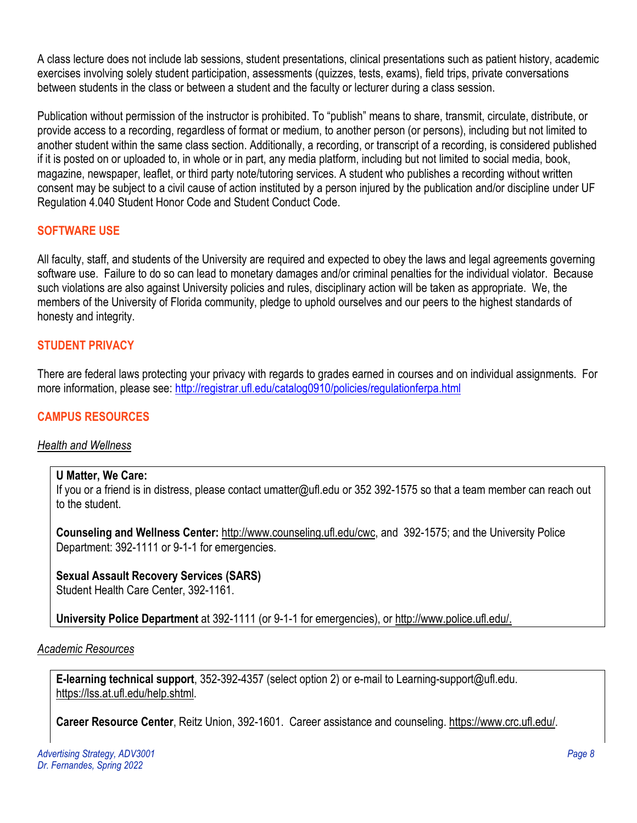A class lecture does not include lab sessions, student presentations, clinical presentations such as patient history, academic exercises involving solely student participation, assessments (quizzes, tests, exams), field trips, private conversations between students in the class or between a student and the faculty or lecturer during a class session.

Publication without permission of the instructor is prohibited. To "publish" means to share, transmit, circulate, distribute, or provide access to a recording, regardless of format or medium, to another person (or persons), including but not limited to another student within the same class section. Additionally, a recording, or transcript of a recording, is considered published if it is posted on or uploaded to, in whole or in part, any media platform, including but not limited to social media, book, magazine, newspaper, leaflet, or third party note/tutoring services. A student who publishes a recording without written consent may be subject to a civil cause of action instituted by a person injured by the publication and/or discipline under UF Regulation 4.040 Student Honor Code and Student Conduct Code.

### **SOFTWARE USE**

All faculty, staff, and students of the University are required and expected to obey the laws and legal agreements governing software use. Failure to do so can lead to monetary damages and/or criminal penalties for the individual violator. Because such violations are also against University policies and rules, disciplinary action will be taken as appropriate. We, the members of the University of Florida community, pledge to uphold ourselves and our peers to the highest standards of honesty and integrity.

# **STUDENT PRIVACY**

There are federal laws protecting your privacy with regards to grades earned in courses and on individual assignments. For more information, please see: <http://registrar.ufl.edu/catalog0910/policies/regulationferpa.html>

# **CAMPUS RESOURCES**

# *Health and Wellness*

## **U Matter, We Care:**

If you or a friend is in distress, please contact umatter@ufl.edu or 352 392-1575 so that a team member can reach out to the student.

**Counseling and Wellness Center:** [http://www.counseling.ufl.edu/cwc,](http://www.counseling.ufl.edu/cwc) and 392-1575; and the University Police Department: 392-1111 or 9-1-1 for emergencies.

**Sexual Assault Recovery Services (SARS)**  Student Health Care Center, 392-1161.

**University Police Department** at 392-1111 (or 9-1-1 for emergencies), or [http://www.police.ufl.edu/.](http://www.police.ufl.edu/)

### *Academic Resources*

**E-learning technical support**, 352-392-4357 (select option 2) or e-mail to Learning-support@ufl.edu. [https://lss.at.ufl.edu/help.shtml.](https://lss.at.ufl.edu/help.shtml)

**Career Resource Center**, Reitz Union, 392-1601. Career assistance and counseling. [https://www.crc.ufl.edu/.](https://www.crc.ufl.edu/)